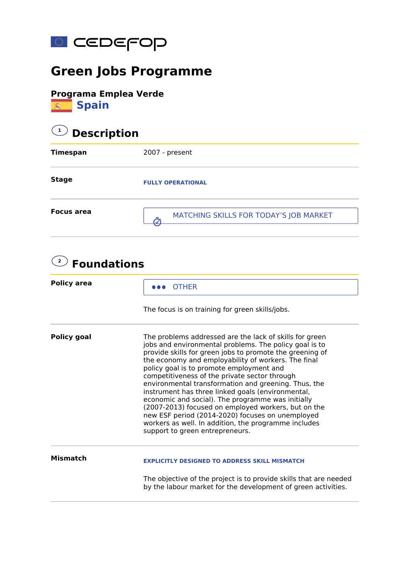

## **Green Jobs Programme**



## **1 Description Timespan** 2007 - present **Stage Focus area FULLY OPERATIONAL** MATCHING SKILLS FOR TODAY'S JOB MARKET

| <b>Policy area</b> | <b>OTHER</b>                                                                                                                                                                                                                                                                                                                                                                                                                                                                                                                                                                                                                                                                                              |  |
|--------------------|-----------------------------------------------------------------------------------------------------------------------------------------------------------------------------------------------------------------------------------------------------------------------------------------------------------------------------------------------------------------------------------------------------------------------------------------------------------------------------------------------------------------------------------------------------------------------------------------------------------------------------------------------------------------------------------------------------------|--|
|                    | The focus is on training for green skills/jobs.                                                                                                                                                                                                                                                                                                                                                                                                                                                                                                                                                                                                                                                           |  |
| <b>Policy goal</b> | The problems addressed are the lack of skills for green<br>jobs and environmental problems. The policy goal is to<br>provide skills for green jobs to promote the greening of<br>the economy and employability of workers. The final<br>policy goal is to promote employment and<br>competitiveness of the private sector through<br>environmental transformation and greening. Thus, the<br>instrument has three linked goals (environmental,<br>economic and social). The programme was initially<br>(2007-2013) focused on employed workers, but on the<br>new ESF period (2014-2020) focuses on unemployed<br>workers as well. In addition, the programme includes<br>support to green entrepreneurs. |  |
| <b>Mismatch</b>    | <b>EXPLICITLY DESIGNED TO ADDRESS SKILL MISMATCH</b>                                                                                                                                                                                                                                                                                                                                                                                                                                                                                                                                                                                                                                                      |  |
|                    | The objective of the project is to provide skills that are needed<br>by the labour market for the development of green activities.                                                                                                                                                                                                                                                                                                                                                                                                                                                                                                                                                                        |  |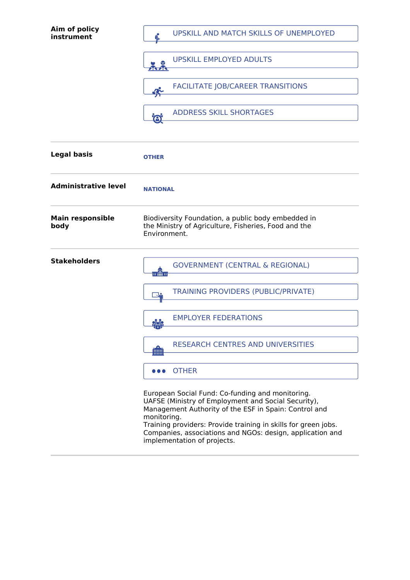| Aim of policy<br>instrument     | UPSKILL AND MATCH SKILLS OF UNEMPLOYED                                                                                                                                                                                                                                                                                                        |
|---------------------------------|-----------------------------------------------------------------------------------------------------------------------------------------------------------------------------------------------------------------------------------------------------------------------------------------------------------------------------------------------|
|                                 | <b>UPSKILL EMPLOYED ADULTS</b><br>バイバ                                                                                                                                                                                                                                                                                                         |
|                                 | <b>FACILITATE JOB/CAREER TRANSITIONS</b><br>≰≿                                                                                                                                                                                                                                                                                                |
|                                 | <b>ADDRESS SKILL SHORTAGES</b><br>Ö,                                                                                                                                                                                                                                                                                                          |
| <b>Legal basis</b>              | <b>OTHER</b>                                                                                                                                                                                                                                                                                                                                  |
| <b>Administrative level</b>     | <b>NATIONAL</b>                                                                                                                                                                                                                                                                                                                               |
| <b>Main responsible</b><br>body | Biodiversity Foundation, a public body embedded in<br>the Ministry of Agriculture, Fisheries, Food and the<br>Environment.                                                                                                                                                                                                                    |
| <b>Stakeholders</b>             | <b>GOVERNMENT (CENTRAL &amp; REGIONAL)</b><br>$\overline{\mathfrak{m}}$ m                                                                                                                                                                                                                                                                     |
|                                 | <b>TRAINING PROVIDERS (PUBLIC/PRIVATE)</b><br>₩                                                                                                                                                                                                                                                                                               |
|                                 | <b>EMPLOYER FEDERATIONS</b>                                                                                                                                                                                                                                                                                                                   |
|                                 | <b>RESEARCH CENTRES AND UNIVERSITIES</b><br>ÏШI                                                                                                                                                                                                                                                                                               |
|                                 | <b>OTHER</b>                                                                                                                                                                                                                                                                                                                                  |
|                                 | European Social Fund: Co-funding and monitoring.<br>UAFSE (Ministry of Employment and Social Security),<br>Management Authority of the ESF in Spain: Control and<br>monitoring.<br>Training providers: Provide training in skills for green jobs.<br>Companies, associations and NGOs: design, application and<br>implementation of projects. |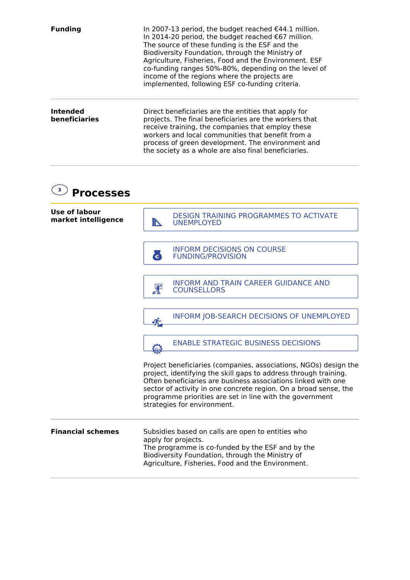| <b>Funding</b>            | In 2007-13 period, the budget reached €44.1 million.<br>In 2014-20 period, the budget reached €67 million.<br>The source of these funding is the ESF and the<br>Biodiversity Foundation, through the Ministry of<br>Agriculture, Fisheries, Food and the Environment. ESF<br>co-funding ranges 50%-80%, depending on the level of<br>income of the regions where the projects are<br>implemented, following ESF co-funding criteria. |
|---------------------------|--------------------------------------------------------------------------------------------------------------------------------------------------------------------------------------------------------------------------------------------------------------------------------------------------------------------------------------------------------------------------------------------------------------------------------------|
| Intended<br>beneficiaries | Direct beneficiaries are the entities that apply for<br>projects. The final beneficiaries are the workers that<br>receive training, the companies that employ these<br>workers and local communities that benefit from a<br>process of green development. The environment and<br>the society as a whole are also final beneficiaries.                                                                                                |

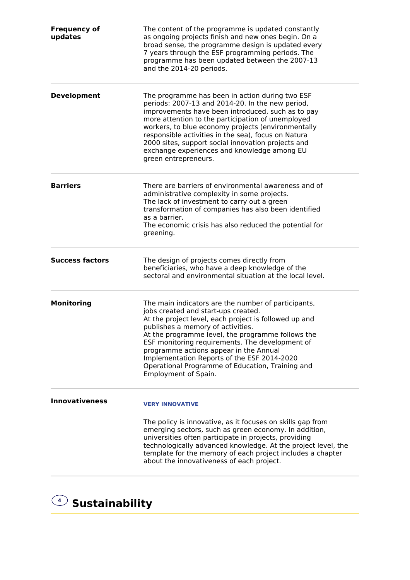| <b>Frequency of</b><br>updates | The content of the programme is updated constantly<br>as ongoing projects finish and new ones begin. On a<br>broad sense, the programme design is updated every<br>7 years through the ESF programming periods. The<br>programme has been updated between the 2007-13<br>and the 2014-20 periods.                                                                                                                                                                     |
|--------------------------------|-----------------------------------------------------------------------------------------------------------------------------------------------------------------------------------------------------------------------------------------------------------------------------------------------------------------------------------------------------------------------------------------------------------------------------------------------------------------------|
| <b>Development</b>             | The programme has been in action during two ESF<br>periods: 2007-13 and 2014-20. In the new period,<br>improvements have been introduced, such as to pay<br>more attention to the participation of unemployed<br>workers, to blue economy projects (environmentally<br>responsible activities in the sea), focus on Natura<br>2000 sites, support social innovation projects and<br>exchange experiences and knowledge among EU<br>green entrepreneurs.               |
| <b>Barriers</b>                | There are barriers of environmental awareness and of<br>administrative complexity in some projects.<br>The lack of investment to carry out a green<br>transformation of companies has also been identified<br>as a barrier.<br>The economic crisis has also reduced the potential for<br>greening.                                                                                                                                                                    |
| <b>Success factors</b>         | The design of projects comes directly from<br>beneficiaries, who have a deep knowledge of the<br>sectoral and environmental situation at the local level.                                                                                                                                                                                                                                                                                                             |
| <b>Monitoring</b>              | The main indicators are the number of participants,<br>jobs created and start-ups created.<br>At the project level, each project is followed up and<br>publishes a memory of activities.<br>At the programme level, the programme follows the<br>ESF monitoring requirements. The development of<br>programme actions appear in the Annual<br>Implementation Reports of the ESF 2014-2020<br>Operational Programme of Education, Training and<br>Employment of Spain. |
| <b>Innovativeness</b>          | <b>VERY INNOVATIVE</b><br>The policy is innovative, as it focuses on skills gap from<br>emerging sectors, such as green economy. In addition,<br>universities often participate in projects, providing<br>technologically advanced knowledge. At the project level, the<br>template for the memory of each project includes a chapter<br>about the innovativeness of each project.                                                                                    |

**<sup>4</sup> Sustainability**